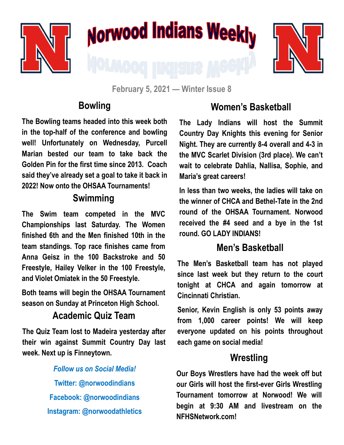

# Norwood Indians Weekly



**February 5, 2021 — Winter Issue 8**

## **Bowling**

**The Bowling teams headed into this week both in the top-half of the conference and bowling well! Unfortunately on Wednesday, Purcell Marian bested our team to take back the Golden Pin for the first time since 2013. Coach said they've already set a goal to take it back in 2022! Now onto the OHSAA Tournaments!**

#### **Swimming**

**The Swim team competed in the MVC Championships last Saturday. The Women finished 6th and the Men finished 10th in the team standings. Top race finishes came from Anna Geisz in the 100 Backstroke and 50 Freestyle, Hailey Velker in the 100 Freestyle, and Violet Omiatek in the 50 Freestyle.** 

**Both teams will begin the OHSAA Tournament season on Sunday at Princeton High School.**

#### **Academic Quiz Team**

**The Quiz Team lost to Madeira yesterday after their win against Summit Country Day last week. Next up is Finneytown.**

> *Follow us on Social Media!* **Twitter: @norwoodindians Facebook: @norwoodindians Instagram: @norwoodathletics**

## **Women's Basketball**

**The Lady Indians will host the Summit Country Day Knights this evening for Senior Night. They are currently 8-4 overall and 4-3 in the MVC Scarlet Division (3rd place). We can't wait to celebrate Dahlia, Nallisa, Sophie, and Maria's great careers!**

**In less than two weeks, the ladies will take on the winner of CHCA and Bethel-Tate in the 2nd round of the OHSAA Tournament. Norwood received the #4 seed and a bye in the 1st round. GO LADY INDIANS!**

#### **Men's Basketball**

**The Men's Basketball team has not played since last week but they return to the court tonight at CHCA and again tomorrow at Cincinnati Christian.**

**Senior, Kevin English is only 53 points away from 1,000 career points! We will keep everyone updated on his points throughout each game on social media!**

#### **Wrestling**

**Our Boys Wrestlers have had the week off but our Girls will host the first-ever Girls Wrestling Tournament tomorrow at Norwood! We will begin at 9:30 AM and livestream on the NFHSNetwork.com!**